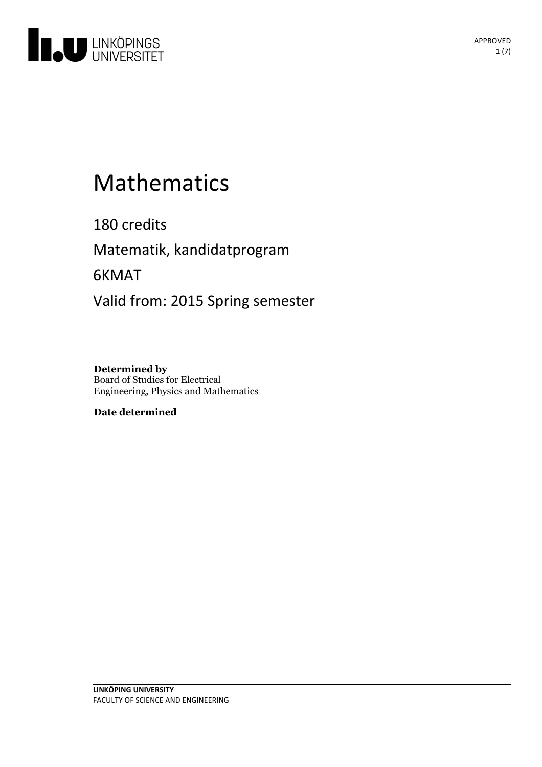

# Mathematics

180 credits Matematik, kandidatprogram 6KMAT Valid from: 2015 Spring semester

**Determined by** Board of Studies for Electrical Engineering, Physics and Mathematics

**Date determined**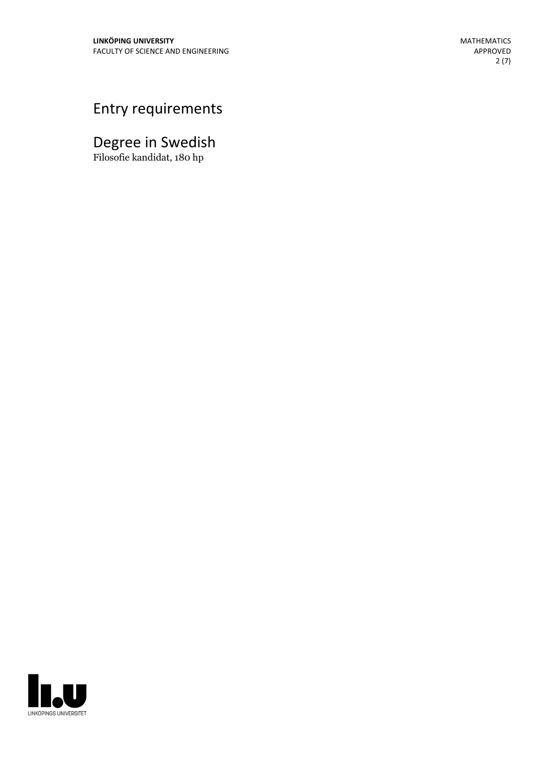## Entry requirements

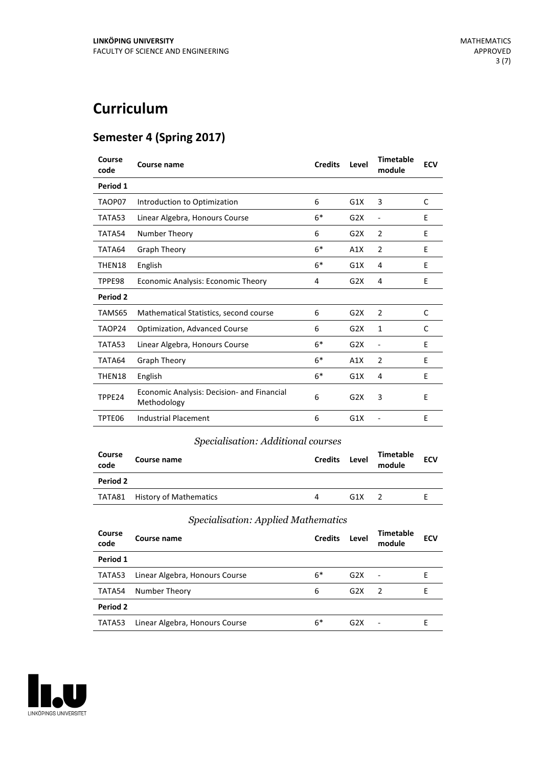## **Curriculum**

### **Semester 4 (Spring 2017)**

| Course<br>code | <b>Course name</b>                                        | <b>Credits</b> | Level | <b>Timetable</b><br>module   | <b>ECV</b> |
|----------------|-----------------------------------------------------------|----------------|-------|------------------------------|------------|
| Period 1       |                                                           |                |       |                              |            |
| TAOP07         | Introduction to Optimization                              | 6              | G1X   | 3                            | C          |
| TATA53         | Linear Algebra, Honours Course                            | $6*$           | G2X   | $\qquad \qquad \blacksquare$ | E          |
| TATA54         | Number Theory                                             | 6              | G2X   | 2                            | Ε          |
| TATA64         | <b>Graph Theory</b>                                       | $6*$           | A1X   | $\overline{2}$               | E          |
| THEN18         | English                                                   | $6*$           | G1X   | 4                            | E          |
| TPPE98         | Economic Analysis: Economic Theory                        | 4              | G2X   | 4                            | E          |
| Period 2       |                                                           |                |       |                              |            |
| TAMS65         | Mathematical Statistics, second course                    | 6              | G2X   | 2                            | C          |
| TAOP24         | <b>Optimization, Advanced Course</b>                      | 6              | G2X   | 1                            | C          |
| TATA53         | Linear Algebra, Honours Course                            | $6*$           | G2X   | $\overline{a}$               | E          |
| TATA64         | <b>Graph Theory</b>                                       | $6*$           | A1X   | $\overline{2}$               | E          |
| THEN18         | English                                                   | $6*$           | G1X   | 4                            | E          |
| TPPE24         | Economic Analysis: Decision- and Financial<br>Methodology | 6              | G2X   | 3                            | E          |
| TPTE06         | <b>Industrial Placement</b>                               | 6              | G1X   |                              | E          |

#### *Specialisation: Additional courses*

| Course<br>code | Course name                   | <b>Credits</b> | Level | <b>Timetable</b><br>module | <b>ECV</b> |
|----------------|-------------------------------|----------------|-------|----------------------------|------------|
| Period 2       |                               |                |       |                            |            |
|                | TATA81 History of Mathematics | 4              | G1X   |                            |            |

#### *Specialisation: Applied Mathematics*

| Course<br>code | Course name                    | <b>Credits</b> | Level            | <b>Timetable</b><br>module | <b>ECV</b> |
|----------------|--------------------------------|----------------|------------------|----------------------------|------------|
| Period 1       |                                |                |                  |                            |            |
| TATA53         | Linear Algebra, Honours Course | $6*$           | G2X              | $\blacksquare$             |            |
| TATA54         | Number Theory                  | 6              | G2X              | $\overline{2}$             | E          |
| Period 2       |                                |                |                  |                            |            |
| TATA53         | Linear Algebra, Honours Course | $6*$           | G <sub>2</sub> X |                            | F          |

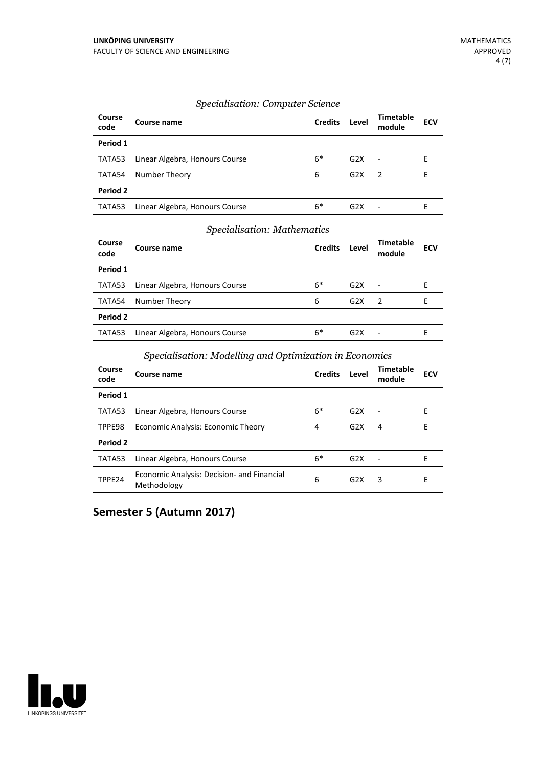#### *Specialisation: Computer Science*

| Course<br>code | Course name                    | <b>Credits</b> | Level | <b>Timetable</b><br>module | <b>ECV</b> |
|----------------|--------------------------------|----------------|-------|----------------------------|------------|
| Period 1       |                                |                |       |                            |            |
| TATA53         | Linear Algebra, Honours Course | $6*$           | G2X   | $\blacksquare$             | F          |
| TATA54         | Number Theory                  | 6              | G2X   | $\overline{z}$             | F          |
| Period 2       |                                |                |       |                            |            |
| TATA53         | Linear Algebra, Honours Course | $6*$           | G2X   |                            | F          |

#### *Specialisation: Mathematics*

| Course<br>code | Course name                    | <b>Credits</b> | Level            | Timetable<br>module      | <b>ECV</b> |
|----------------|--------------------------------|----------------|------------------|--------------------------|------------|
| Period 1       |                                |                |                  |                          |            |
| TATA53         | Linear Algebra, Honours Course | $6*$           | G2X              | $\overline{\phantom{a}}$ | F          |
| TATA54         | Number Theory                  | 6              | G <sub>2</sub> X | 2                        | F          |
| Period 2       |                                |                |                  |                          |            |
| TATA53         | Linear Algebra, Honours Course | $6*$           | G <sub>2</sub> X |                          | F          |

#### *Specialisation: Modelling and Optimization in Economics*

| Course<br>code | Course name                                               | <b>Credits</b> | Level            | Timetable<br>module | <b>ECV</b> |
|----------------|-----------------------------------------------------------|----------------|------------------|---------------------|------------|
| Period 1       |                                                           |                |                  |                     |            |
| TATA53         | Linear Algebra, Honours Course                            | $6*$           | G2X              | $\blacksquare$      | Е          |
| TPPE98         | Economic Analysis: Economic Theory                        | 4              | G2X              | 4                   | F          |
| Period 2       |                                                           |                |                  |                     |            |
| TATA53         | Linear Algebra, Honours Course                            | $6*$           | G2X              | $\sim$              | F          |
| TPPE24         | Economic Analysis: Decision- and Financial<br>Methodology | 6              | G <sub>2</sub> X | 3                   | Е          |

#### **Semester 5 (Autumn 2017)**

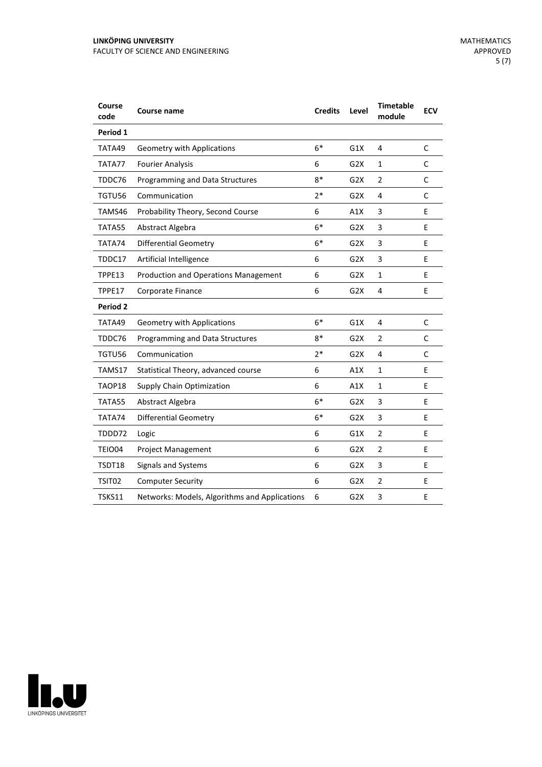| Period 1<br>$6*$<br>TATA49<br>G1X<br>4<br><b>Geometry with Applications</b><br>TATA77<br><b>Fourier Analysis</b><br>6<br>G <sub>2</sub> X<br>1<br>$8*$<br>$\overline{2}$<br>TDDC76<br>Programming and Data Structures<br>G <sub>2</sub> X<br>$2*$<br>TGTU56<br>Communication<br>4<br>G2X | C<br>C<br>C |
|------------------------------------------------------------------------------------------------------------------------------------------------------------------------------------------------------------------------------------------------------------------------------------------|-------------|
|                                                                                                                                                                                                                                                                                          |             |
|                                                                                                                                                                                                                                                                                          |             |
|                                                                                                                                                                                                                                                                                          |             |
|                                                                                                                                                                                                                                                                                          |             |
|                                                                                                                                                                                                                                                                                          | C           |
| TAMS46<br>Probability Theory, Second Course<br>6<br>A1X<br>3                                                                                                                                                                                                                             | E           |
| $6*$<br>TATA55<br>Abstract Algebra<br>G <sub>2</sub> X<br>3                                                                                                                                                                                                                              | E           |
| $6*$<br>TATA74<br><b>Differential Geometry</b><br>G2X<br>3                                                                                                                                                                                                                               | E           |
| 6<br>3<br>Artificial Intelligence<br>G <sub>2</sub> X<br>TDDC17                                                                                                                                                                                                                          | E           |
| 6<br>$\mathbf{1}$<br>TPPE13<br><b>Production and Operations Management</b><br>G <sub>2</sub> X                                                                                                                                                                                           | E           |
| TPPE17<br>Corporate Finance<br>6<br>G <sub>2</sub> X<br>4                                                                                                                                                                                                                                | E           |
| Period 2                                                                                                                                                                                                                                                                                 |             |
| $6*$<br>G1X<br>4<br>TATA49<br><b>Geometry with Applications</b>                                                                                                                                                                                                                          | $\mathsf C$ |
| $8*$<br>TDDC76<br>Programming and Data Structures<br>G2X<br>2                                                                                                                                                                                                                            | C           |
| $2*$<br>TGTU56<br>Communication<br>G <sub>2</sub> X<br>4                                                                                                                                                                                                                                 | C           |
| 6<br>TAMS17<br>A1X<br>1<br>Statistical Theory, advanced course                                                                                                                                                                                                                           | E           |
| TAOP18<br>6<br><b>Supply Chain Optimization</b><br>A1X<br>$\mathbf{1}$                                                                                                                                                                                                                   | E           |
| $6*$<br>TATA55<br>Abstract Algebra<br>G <sub>2</sub> X<br>3                                                                                                                                                                                                                              | E           |
| $6*$<br><b>Differential Geometry</b><br>TATA74<br>G <sub>2</sub> X<br>3                                                                                                                                                                                                                  | E           |
| TDDD72<br>6<br>G1X<br>$\overline{2}$<br>Logic                                                                                                                                                                                                                                            | E           |
| 6<br>TEIO04<br><b>Project Management</b><br>G <sub>2</sub> X<br>$\overline{2}$                                                                                                                                                                                                           | E           |
| 6<br>3<br>Signals and Systems<br>G <sub>2</sub> X<br>TSDT18                                                                                                                                                                                                                              | E           |
| 6<br>$\overline{2}$<br>TSIT02<br><b>Computer Security</b><br>G <sub>2</sub> X                                                                                                                                                                                                            | E           |
| 3<br><b>TSKS11</b><br>Networks: Models, Algorithms and Applications<br>6<br>G <sub>2</sub> X                                                                                                                                                                                             | E           |

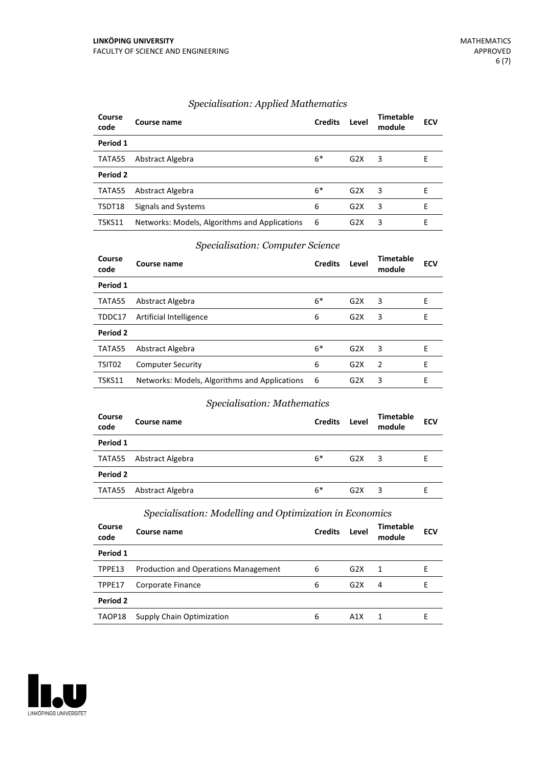| Course<br>code | Course name                                   | <b>Credits</b> | Level            | <b>Timetable</b><br>module | <b>ECV</b> |
|----------------|-----------------------------------------------|----------------|------------------|----------------------------|------------|
| Period 1       |                                               |                |                  |                            |            |
| TATA55         | Abstract Algebra                              | $6*$           | G2X              | 3                          | E          |
| Period 2       |                                               |                |                  |                            |            |
| TATA55         | Abstract Algebra                              | $6*$           | G2X              | 3                          | E          |
| TSDT18         | Signals and Systems                           | 6              | G <sub>2</sub> X | 3                          | E          |
| TSKS11         | Networks: Models, Algorithms and Applications | - 6            | G <sub>2</sub> X | 3                          | Е          |

#### *Specialisation: Applied Mathematics*

#### *Specialisation: Computer Science*

| Course<br>code | Course name                                   | <b>Credits</b> | Level | Timetable<br>module | <b>ECV</b> |
|----------------|-----------------------------------------------|----------------|-------|---------------------|------------|
| Period 1       |                                               |                |       |                     |            |
| TATA55         | Abstract Algebra                              | $6*$           | G2X   | 3                   | Е          |
| TDDC17         | Artificial Intelligence                       | 6              | G2X   | 3                   | E          |
| Period 2       |                                               |                |       |                     |            |
| TATA55         | Abstract Algebra                              | $6*$           | G2X   | 3                   | E          |
| TSIT02         | <b>Computer Security</b>                      | 6              | G2X   | 2                   | E          |
| TSKS11         | Networks: Models, Algorithms and Applications | -6             | G2X   | 3                   | F          |

#### *Specialisation: Mathematics*

| Course<br>code | Course name      | <b>Credits</b> | Level | <b>Timetable</b><br>module | <b>ECV</b> |
|----------------|------------------|----------------|-------|----------------------------|------------|
| Period 1       |                  |                |       |                            |            |
| TATA55         | Abstract Algebra | $6*$           | G2X   | 3                          | F          |
| Period 2       |                  |                |       |                            |            |
| TATA55         | Abstract Algebra | $6*$           | G2X   | 3                          |            |

#### *Specialisation: Modelling and Optimization in Economics*

| Course<br>code | Course name                                 | <b>Credits</b> | Level            | Timetable<br>module | <b>ECV</b> |
|----------------|---------------------------------------------|----------------|------------------|---------------------|------------|
| Period 1       |                                             |                |                  |                     |            |
| TPPE13         | <b>Production and Operations Management</b> | 6              | G2X              | $\overline{1}$      | F          |
| TPPE17         | Corporate Finance                           | 6              | G <sub>2</sub> X | 4                   | F.         |
| Period 2       |                                             |                |                  |                     |            |
| TAOP18         | Supply Chain Optimization                   | 6              | A1X              |                     |            |